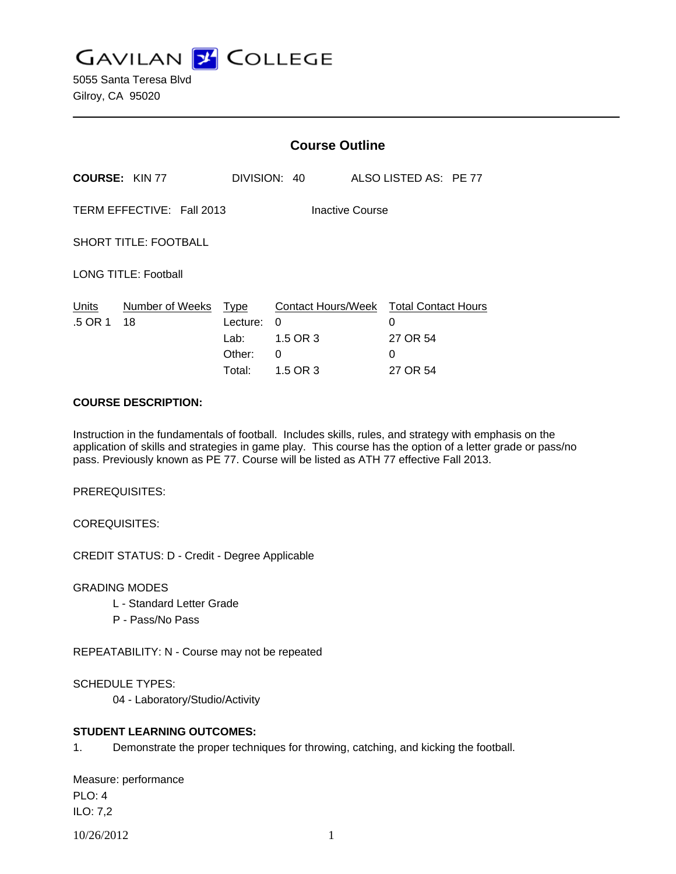**GAVILAN J COLLEGE** 

5055 Santa Teresa Blvd Gilroy, CA 95020

|                                              | <b>Course Outline</b>      |                                      |                                |                                                                          |  |
|----------------------------------------------|----------------------------|--------------------------------------|--------------------------------|--------------------------------------------------------------------------|--|
|                                              | <b>COURSE: KIN 77</b>      |                                      | DIVISION: 40                   | ALSO LISTED AS: PE 77                                                    |  |
| TERM EFFECTIVE: Fall 2013<br>Inactive Course |                            |                                      |                                |                                                                          |  |
| <b>SHORT TITLE: FOOTBALL</b>                 |                            |                                      |                                |                                                                          |  |
| <b>LONG TITLE: Football</b>                  |                            |                                      |                                |                                                                          |  |
| Units<br>.5 OR 1                             | Number of Weeks Type<br>18 | Lecture:<br>Lab:<br>Other:<br>Total: | 0<br>1.5 OR 3<br>0<br>1.5 OR 3 | Contact Hours/Week Total Contact Hours<br>0<br>27 OR 54<br>0<br>27 OR 54 |  |

### **COURSE DESCRIPTION:**

Instruction in the fundamentals of football. Includes skills, rules, and strategy with emphasis on the application of skills and strategies in game play. This course has the option of a letter grade or pass/no pass. Previously known as PE 77. Course will be listed as ATH 77 effective Fall 2013.

PREREQUISITES:

COREQUISITES:

CREDIT STATUS: D - Credit - Degree Applicable

GRADING MODES

- L Standard Letter Grade
- P Pass/No Pass

REPEATABILITY: N - Course may not be repeated

SCHEDULE TYPES:

04 - Laboratory/Studio/Activity

## **STUDENT LEARNING OUTCOMES:**

1. Demonstrate the proper techniques for throwing, catching, and kicking the football.

Measure: performance PLO: 4 ILO: 7,2

```
10/26/2012 1
```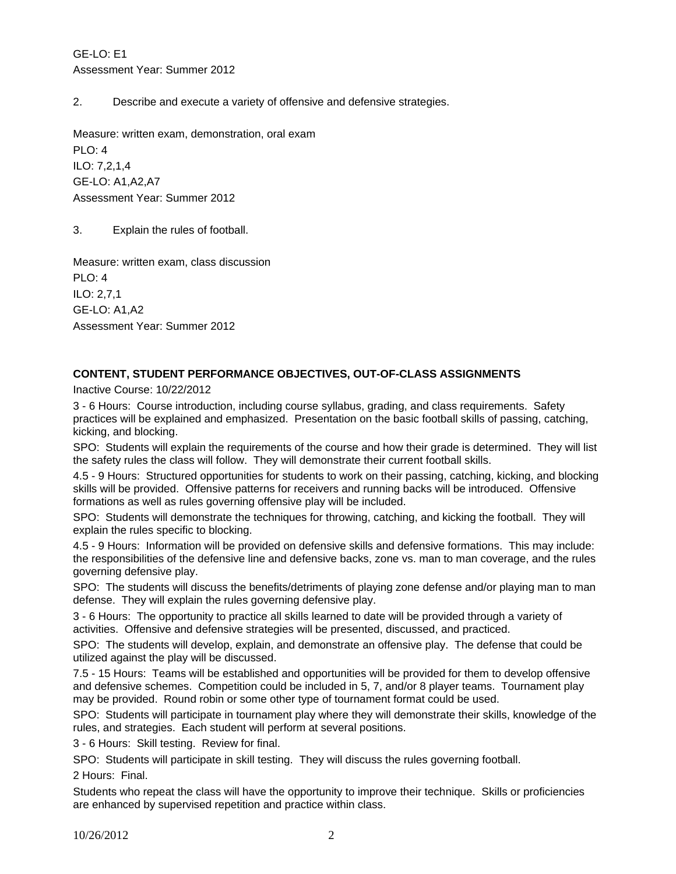GE-LO: E1 Assessment Year: Summer 2012

2. Describe and execute a variety of offensive and defensive strategies.

Measure: written exam, demonstration, oral exam PLO: 4 ILO: 7,2,1,4 GE-LO: A1,A2,A7 Assessment Year: Summer 2012

3. Explain the rules of football.

Measure: written exam, class discussion PLO: 4 ILO: 2,7,1 GE-LO: A1,A2 Assessment Year: Summer 2012

# **CONTENT, STUDENT PERFORMANCE OBJECTIVES, OUT-OF-CLASS ASSIGNMENTS**

Inactive Course: 10/22/2012

3 - 6 Hours: Course introduction, including course syllabus, grading, and class requirements. Safety practices will be explained and emphasized. Presentation on the basic football skills of passing, catching, kicking, and blocking.

SPO: Students will explain the requirements of the course and how their grade is determined. They will list the safety rules the class will follow. They will demonstrate their current football skills.

4.5 - 9 Hours: Structured opportunities for students to work on their passing, catching, kicking, and blocking skills will be provided. Offensive patterns for receivers and running backs will be introduced. Offensive formations as well as rules governing offensive play will be included.

SPO: Students will demonstrate the techniques for throwing, catching, and kicking the football. They will explain the rules specific to blocking.

4.5 - 9 Hours: Information will be provided on defensive skills and defensive formations. This may include: the responsibilities of the defensive line and defensive backs, zone vs. man to man coverage, and the rules governing defensive play.

SPO: The students will discuss the benefits/detriments of playing zone defense and/or playing man to man defense. They will explain the rules governing defensive play.

3 - 6 Hours: The opportunity to practice all skills learned to date will be provided through a variety of activities. Offensive and defensive strategies will be presented, discussed, and practiced.

SPO: The students will develop, explain, and demonstrate an offensive play. The defense that could be utilized against the play will be discussed.

7.5 - 15 Hours: Teams will be established and opportunities will be provided for them to develop offensive and defensive schemes. Competition could be included in 5, 7, and/or 8 player teams. Tournament play may be provided. Round robin or some other type of tournament format could be used.

SPO: Students will participate in tournament play where they will demonstrate their skills, knowledge of the rules, and strategies. Each student will perform at several positions.

3 - 6 Hours: Skill testing. Review for final.

SPO: Students will participate in skill testing. They will discuss the rules governing football.

2 Hours: Final.

Students who repeat the class will have the opportunity to improve their technique. Skills or proficiencies are enhanced by supervised repetition and practice within class.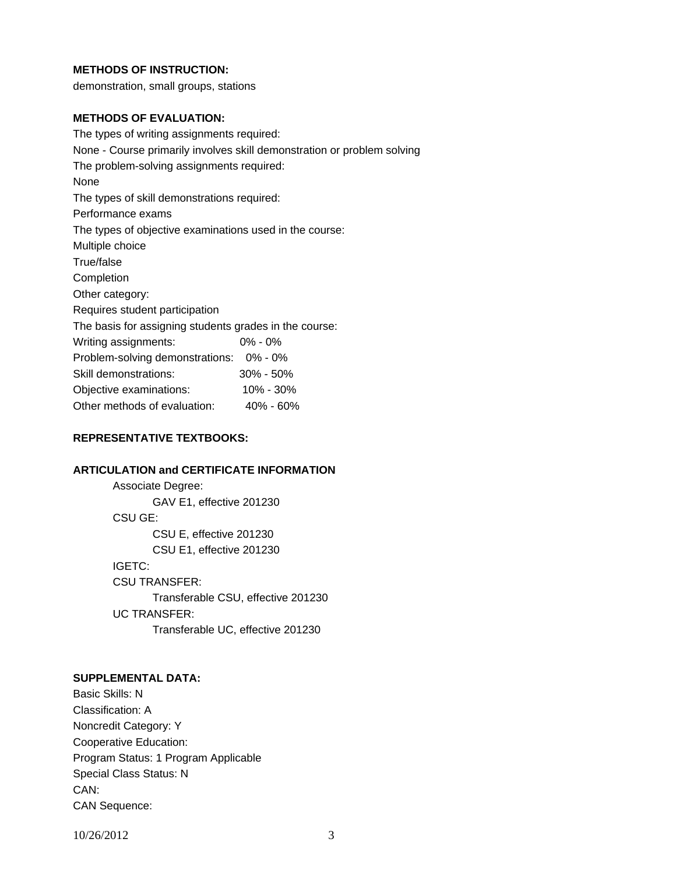### **METHODS OF INSTRUCTION:**

demonstration, small groups, stations

### **METHODS OF EVALUATION:**

The types of writing assignments required: None - Course primarily involves skill demonstration or problem solving The problem-solving assignments required: None The types of skill demonstrations required: Performance exams The types of objective examinations used in the course: Multiple choice True/false Completion Other category: Requires student participation The basis for assigning students grades in the course: Writing assignments: 0% - 0% Problem-solving demonstrations: 0% - 0% Skill demonstrations: 30% - 50% Objective examinations: 10% - 30% Other methods of evaluation: 40% - 60%

### **REPRESENTATIVE TEXTBOOKS:**

### **ARTICULATION and CERTIFICATE INFORMATION**

 Associate Degree: GAV E1, effective 201230 CSU GE: CSU E, effective 201230 CSU E1, effective 201230 IGETC: CSU TRANSFER: Transferable CSU, effective 201230 UC TRANSFER: Transferable UC, effective 201230

#### **SUPPLEMENTAL DATA:**

Basic Skills: N Classification: A Noncredit Category: Y Cooperative Education: Program Status: 1 Program Applicable Special Class Status: N CAN: CAN Sequence:

10/26/2012 3